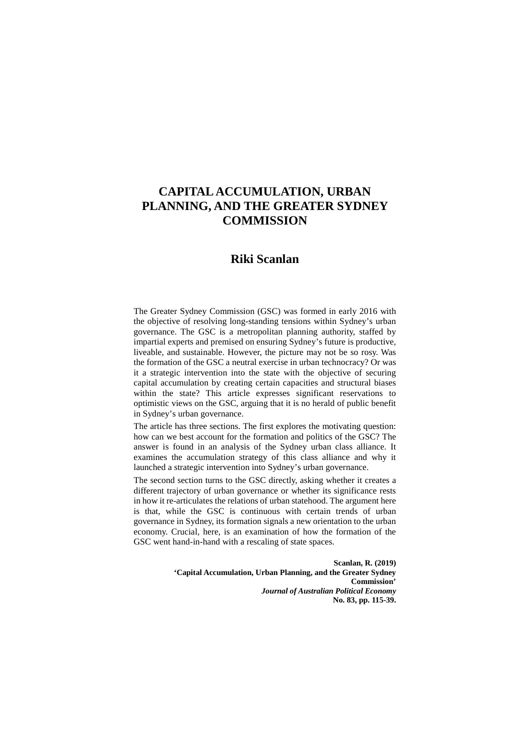# **CAPITAL ACCUMULATION, URBAN PLANNING, AND THE GREATER SYDNEY COMMISSION**

## **Riki Scanlan**

The Greater Sydney Commission (GSC) was formed in early 2016 with the objective of resolving long-standing tensions within Sydney's urban governance. The GSC is a metropolitan planning authority, staffed by impartial experts and premised on ensuring Sydney's future is productive, liveable, and sustainable. However, the picture may not be so rosy. Was the formation of the GSC a neutral exercise in urban technocracy? Or was it a strategic intervention into the state with the objective of securing capital accumulation by creating certain capacities and structural biases within the state? This article expresses significant reservations to optimistic views on the GSC, arguing that it is no herald of public benefit in Sydney's urban governance.

The article has three sections. The first explores the motivating question: how can we best account for the formation and politics of the GSC? The answer is found in an analysis of the Sydney urban class alliance. It examines the accumulation strategy of this class alliance and why it launched a strategic intervention into Sydney's urban governance.

The second section turns to the GSC directly, asking whether it creates a different trajectory of urban governance or whether its significance rests in how it re-articulates the relations of urban statehood. The argument here is that, while the GSC is continuous with certain trends of urban governance in Sydney, its formation signals a new orientation to the urban economy. Crucial, here, is an examination of how the formation of the GSC went hand-in-hand with a rescaling of state spaces.

> **Scanlan, R. (2019) 'Capital Accumulation, Urban Planning, and the Greater Sydney Commission'**  *Journal of Australian Political Economy* **No. 83, pp. 115-39.**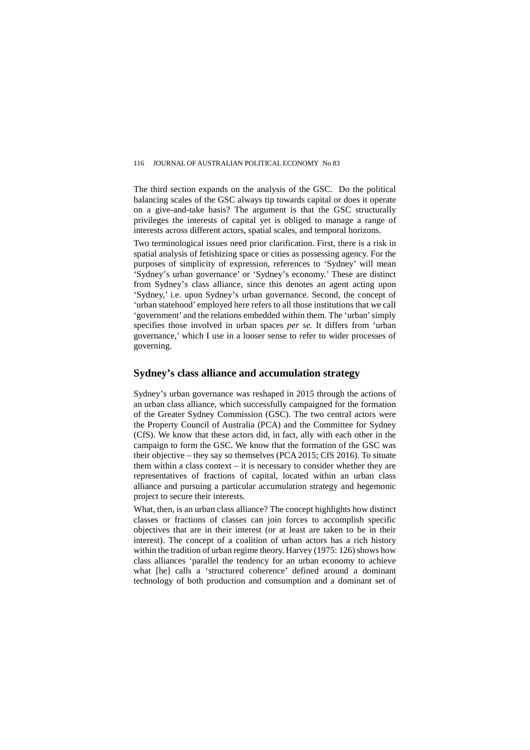The third section expands on the analysis of the GSC. Do the political balancing scales of the GSC always tip towards capital or does it operate on a give-and-take basis? The argument is that the GSC structurally privileges the interests of capital yet is obliged to manage a range of interests across different actors, spatial scales, and temporal horizons.

Two terminological issues need prior clarification. First, there is a risk in spatial analysis of fetishizing space or cities as possessing agency. For the purposes of simplicity of expression, references to 'Sydney' will mean 'Sydney's urban governance' or 'Sydney's economy.' These are distinct from Sydney's class alliance, since this denotes an agent acting upon 'Sydney,' i.e. upon Sydney's urban governance. Second, the concept of 'urban statehood' employed here refers to all those institutions that we call 'government' and the relations embedded within them. The 'urban' simply specifies those involved in urban spaces *per se.* It differs from 'urban governance,' which I use in a looser sense to refer to wider processes of governing.

### **Sydney's class alliance and accumulation strategy**

Sydney's urban governance was reshaped in 2015 through the actions of an urban class alliance, which successfully campaigned for the formation of the Greater Sydney Commission (GSC). The two central actors were the Property Council of Australia (PCA) and the Committee for Sydney (CfS). We know that these actors did, in fact, ally with each other in the campaign to form the GSC. We know that the formation of the GSC was their objective – they say so themselves (PCA 2015; CfS 2016). To situate them within a class context – it is necessary to consider whether they are representatives of fractions of capital, located within an urban class alliance and pursuing a particular accumulation strategy and hegemonic project to secure their interests.

What, then, is an urban class alliance? The concept highlights how distinct classes or fractions of classes can join forces to accomplish specific objectives that are in their interest (or at least are taken to be in their interest). The concept of a coalition of urban actors has a rich history within the tradition of urban regime theory. Harvey (1975: 126) shows how class alliances 'parallel the tendency for an urban economy to achieve what [he] calls a 'structured coherence' defined around a dominant technology of both production and consumption and a dominant set of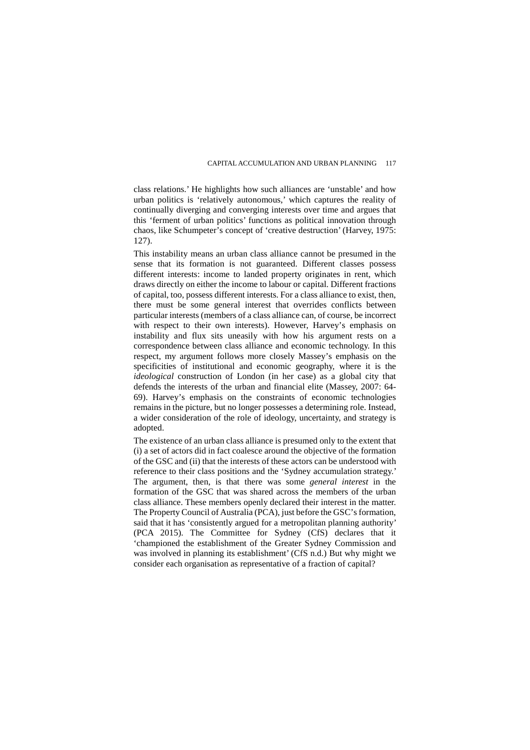class relations.' He highlights how such alliances are 'unstable' and how urban politics is 'relatively autonomous,' which captures the reality of continually diverging and converging interests over time and argues that this 'ferment of urban politics' functions as political innovation through chaos, like Schumpeter's concept of 'creative destruction' (Harvey, 1975: 127).

This instability means an urban class alliance cannot be presumed in the sense that its formation is not guaranteed. Different classes possess different interests: income to landed property originates in rent, which draws directly on either the income to labour or capital. Different fractions of capital, too, possess different interests. For a class alliance to exist, then, there must be some general interest that overrides conflicts between particular interests (members of a class alliance can, of course, be incorrect with respect to their own interests). However, Harvey's emphasis on instability and flux sits uneasily with how his argument rests on a correspondence between class alliance and economic technology. In this respect, my argument follows more closely Massey's emphasis on the specificities of institutional and economic geography, where it is the *ideological* construction of London (in her case) as a global city that defends the interests of the urban and financial elite (Massey, 2007: 64- 69). Harvey's emphasis on the constraints of economic technologies remains in the picture, but no longer possesses a determining role. Instead, a wider consideration of the role of ideology, uncertainty, and strategy is adopted.

The existence of an urban class alliance is presumed only to the extent that (i) a set of actors did in fact coalesce around the objective of the formation of the GSC and (ii) that the interests of these actors can be understood with reference to their class positions and the 'Sydney accumulation strategy.' The argument, then, is that there was some *general interest* in the formation of the GSC that was shared across the members of the urban class alliance. These members openly declared their interest in the matter. The Property Council of Australia (PCA), just before the GSC's formation, said that it has 'consistently argued for a metropolitan planning authority' (PCA 2015). The Committee for Sydney (CfS) declares that it 'championed the establishment of the Greater Sydney Commission and was involved in planning its establishment' (CfS n.d.) But why might we consider each organisation as representative of a fraction of capital?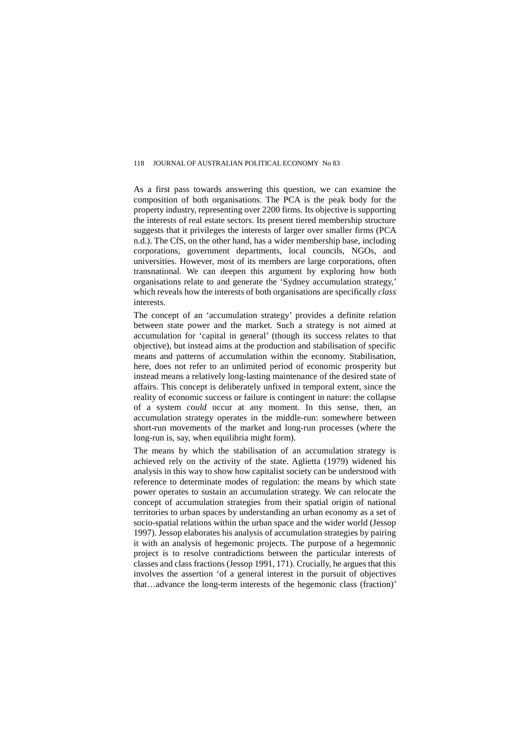As a first pass towards answering this question, we can examine the composition of both organisations. The PCA is the peak body for the property industry, representing over 2200 firms. Its objective is supporting the interests of real estate sectors. Its present tiered membership structure suggests that it privileges the interests of larger over smaller firms (PCA n.d.). The CfS, on the other hand, has a wider membership base, including corporations, government departments, local councils, NGOs, and universities. However, most of its members are large corporations, often transnational. We can deepen this argument by exploring how both organisations relate to and generate the 'Sydney accumulation strategy,' which reveals how the interests of both organisations are specifically *class* interests.

The concept of an 'accumulation strategy' provides a definite relation between state power and the market. Such a strategy is not aimed at accumulation for 'capital in general' (though its success relates to that objective), but instead aims at the production and stabilisation of specific means and patterns of accumulation within the economy. Stabilisation, here, does not refer to an unlimited period of economic prosperity but instead means a relatively long-lasting maintenance of the desired state of affairs. This concept is deliberately unfixed in temporal extent, since the reality of economic success or failure is contingent in nature: the collapse of a system *could* occur at any moment. In this sense, then, an accumulation strategy operates in the middle-run: somewhere between short-run movements of the market and long-run processes (where the long-run is, say, when equilibria might form).

The means by which the stabilisation of an accumulation strategy is achieved rely on the activity of the state. Aglietta (1979) widened his analysis in this way to show how capitalist society can be understood with reference to determinate modes of regulation: the means by which state power operates to sustain an accumulation strategy. We can relocate the concept of accumulation strategies from their spatial origin of national territories to urban spaces by understanding an urban economy as a set of socio-spatial relations within the urban space and the wider world (Jessop 1997). Jessop elaborates his analysis of accumulation strategies by pairing it with an analysis of hegemonic projects. The purpose of a hegemonic project is to resolve contradictions between the particular interests of classes and class fractions (Jessop 1991, 171). Crucially, he argues that this involves the assertion 'of a general interest in the pursuit of objectives that…advance the long-term interests of the hegemonic class (fraction)'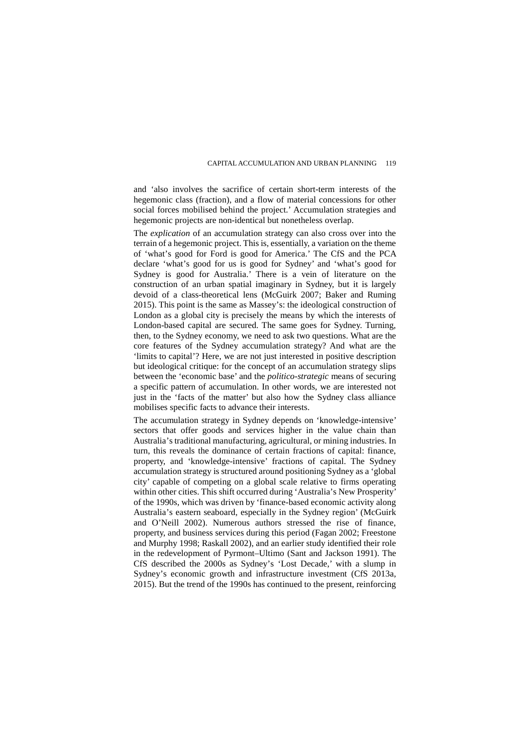and 'also involves the sacrifice of certain short-term interests of the hegemonic class (fraction), and a flow of material concessions for other social forces mobilised behind the project.' Accumulation strategies and hegemonic projects are non-identical but nonetheless overlap.

The *explication* of an accumulation strategy can also cross over into the terrain of a hegemonic project. This is, essentially, a variation on the theme of 'what's good for Ford is good for America.' The CfS and the PCA declare 'what's good for us is good for Sydney' and 'what's good for Sydney is good for Australia.' There is a vein of literature on the construction of an urban spatial imaginary in Sydney, but it is largely devoid of a class-theoretical lens (McGuirk 2007; Baker and Ruming 2015). This point is the same as Massey's: the ideological construction of London as a global city is precisely the means by which the interests of London-based capital are secured. The same goes for Sydney. Turning, then, to the Sydney economy, we need to ask two questions. What are the core features of the Sydney accumulation strategy? And what are the 'limits to capital'? Here, we are not just interested in positive description but ideological critique: for the concept of an accumulation strategy slips between the 'economic base' and the *politico-strategic* means of securing a specific pattern of accumulation. In other words, we are interested not just in the 'facts of the matter' but also how the Sydney class alliance mobilises specific facts to advance their interests.

The accumulation strategy in Sydney depends on 'knowledge-intensive' sectors that offer goods and services higher in the value chain than Australia's traditional manufacturing, agricultural, or mining industries. In turn, this reveals the dominance of certain fractions of capital: finance, property, and 'knowledge-intensive' fractions of capital. The Sydney accumulation strategy is structured around positioning Sydney as a 'global city' capable of competing on a global scale relative to firms operating within other cities. This shift occurred during 'Australia's New Prosperity' of the 1990s, which was driven by 'finance-based economic activity along Australia's eastern seaboard, especially in the Sydney region' (McGuirk and O'Neill 2002). Numerous authors stressed the rise of finance, property, and business services during this period (Fagan 2002; Freestone and Murphy 1998; Raskall 2002), and an earlier study identified their role in the redevelopment of Pyrmont–Ultimo (Sant and Jackson 1991). The CfS described the 2000s as Sydney's 'Lost Decade,' with a slump in Sydney's economic growth and infrastructure investment (CfS 2013a, 2015). But the trend of the 1990s has continued to the present, reinforcing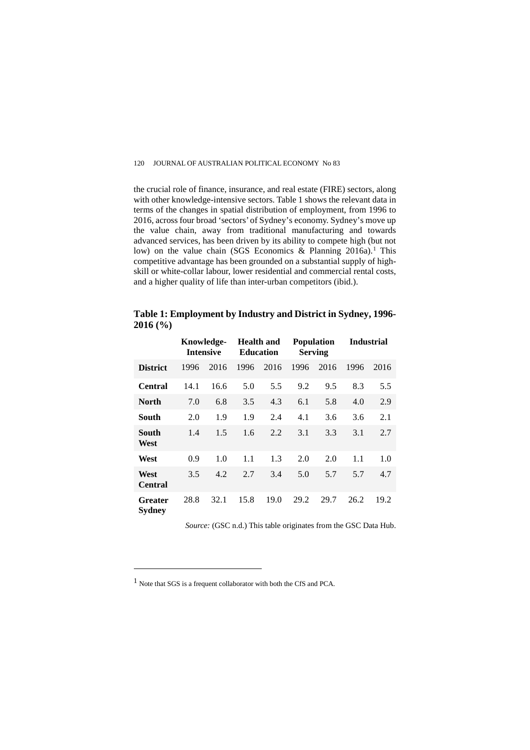the crucial role of finance, insurance, and real estate (FIRE) sectors, along with other knowledge-intensive sectors. Table 1 shows the relevant data in terms of the changes in spatial distribution of employment, from 1996 to 2016, across four broad 'sectors' of Sydney's economy. Sydney's move up the value chain, away from traditional manufacturing and towards advanced services, has been driven by its ability to compete high (but not low) on the value chain (SGS Economics & Planning 20[1](#page-5-0)6a).<sup>1</sup> This competitive advantage has been grounded on a substantial supply of highskill or white-collar labour, lower residential and commercial rental costs, and a higher quality of life than inter-urban competitors (ibid.).

| 2016(%) |                  |                   |                   |            |
|---------|------------------|-------------------|-------------------|------------|
|         | Knowledge-       | <b>Health</b> and | <b>Population</b> | Industrial |
|         | <b>Intensive</b> | <b>Education</b>  | Serving           |            |

**Table 1: Employment by Industry and District in Sydney, 1996-**

|                          | Knowledge-<br><b>Intensive</b> |      | <b>Health</b> and<br><b>Education</b> |      | Population<br><b>Serving</b> |      | Industrial |      |
|--------------------------|--------------------------------|------|---------------------------------------|------|------------------------------|------|------------|------|
| <b>District</b>          | 1996                           | 2016 | 1996                                  | 2016 | 1996                         | 2016 | 1996       | 2016 |
| <b>Central</b>           | 14.1                           | 16.6 | 5.0                                   | 5.5  | 9.2                          | 9.5  | 8.3        | 5.5  |
| <b>North</b>             | 7.0                            | 6.8  | 3.5                                   | 4.3  | 6.1                          | 5.8  | 4.0        | 2.9  |
| South                    | 2.0                            | 1.9  | 1.9                                   | 2.4  | 4.1                          | 3.6  | 3.6        | 2.1  |
| <b>South</b><br>West     | 1.4                            | 1.5  | 1.6                                   | 2.2  | 3.1                          | 3.3  | 3.1        | 2.7  |
| West                     | 0.9                            | 1.0  | 1.1                                   | 1.3  | 2.0                          | 2.0  | 1.1        | 1.0  |
| West<br><b>Central</b>   | 3.5                            | 4.2  | 2.7                                   | 3.4  | 5.0                          | 5.7  | 5.7        | 4.7  |
| Greater<br><b>Sydney</b> | 28.8                           | 32.1 | 15.8                                  | 19.0 | 29.2                         | 29.7 | 26.2       | 19.2 |

*Source:* (GSC n.d.) This table originates from the GSC Data Hub.

 $\overline{a}$ 

<span id="page-5-0"></span><sup>1</sup> Note that SGS is a frequent collaborator with both the CfS and PCA.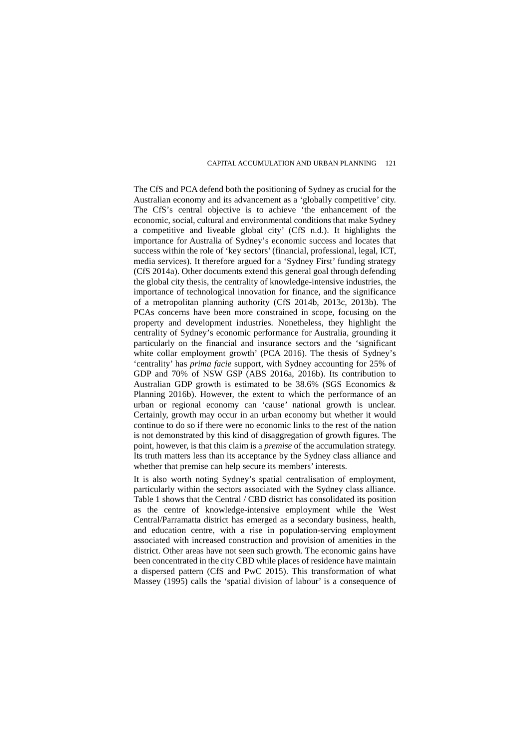The CfS and PCA defend both the positioning of Sydney as crucial for the Australian economy and its advancement as a 'globally competitive' city. The CfS's central objective is to achieve 'the enhancement of the economic, social, cultural and environmental conditions that make Sydney a competitive and liveable global city' (CfS n.d.). It highlights the importance for Australia of Sydney's economic success and locates that success within the role of 'key sectors' (financial, professional, legal, ICT, media services). It therefore argued for a 'Sydney First' funding strategy (CfS 2014a). Other documents extend this general goal through defending the global city thesis, the centrality of knowledge-intensive industries, the importance of technological innovation for finance, and the significance of a metropolitan planning authority (CfS 2014b, 2013c, 2013b). The PCAs concerns have been more constrained in scope, focusing on the property and development industries. Nonetheless, they highlight the centrality of Sydney's economic performance for Australia, grounding it particularly on the financial and insurance sectors and the 'significant white collar employment growth' (PCA 2016). The thesis of Sydney's 'centrality' has *prima facie* support, with Sydney accounting for 25% of GDP and 70% of NSW GSP (ABS 2016a, 2016b). Its contribution to Australian GDP growth is estimated to be 38.6% (SGS Economics & Planning 2016b). However, the extent to which the performance of an urban or regional economy can 'cause' national growth is unclear. Certainly, growth may occur in an urban economy but whether it would continue to do so if there were no economic links to the rest of the nation is not demonstrated by this kind of disaggregation of growth figures. The point, however, is that this claim is a *premise* of the accumulation strategy. Its truth matters less than its acceptance by the Sydney class alliance and whether that premise can help secure its members' interests.

It is also worth noting Sydney's spatial centralisation of employment, particularly within the sectors associated with the Sydney class alliance. Table 1 shows that the Central / CBD district has consolidated its position as the centre of knowledge-intensive employment while the West Central/Parramatta district has emerged as a secondary business, health, and education centre, with a rise in population-serving employment associated with increased construction and provision of amenities in the district. Other areas have not seen such growth. The economic gains have been concentrated in the city CBD while places of residence have maintain a dispersed pattern (CfS and PwC 2015). This transformation of what Massey (1995) calls the 'spatial division of labour' is a consequence of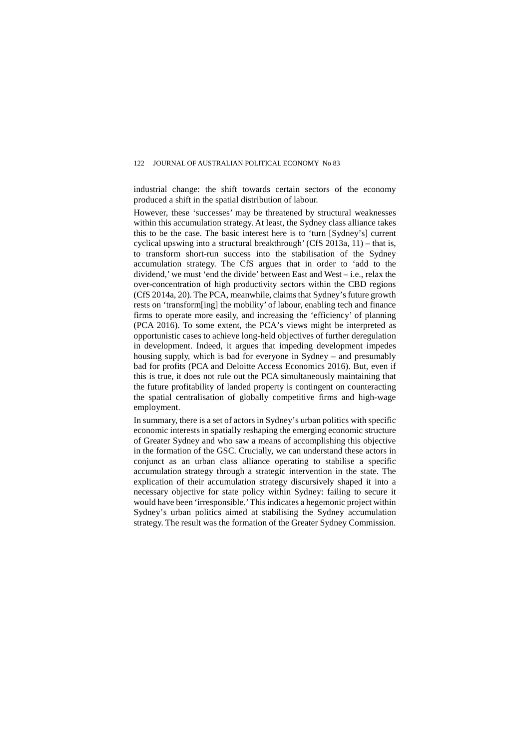industrial change: the shift towards certain sectors of the economy produced a shift in the spatial distribution of labour.

However, these 'successes' may be threatened by structural weaknesses within this accumulation strategy. At least, the Sydney class alliance takes this to be the case. The basic interest here is to 'turn [Sydney's] current cyclical upswing into a structural breakthrough' (CfS 2013a, 11) – that is, to transform short-run success into the stabilisation of the Sydney accumulation strategy. The CfS argues that in order to 'add to the dividend,' we must 'end the divide' between East and West – i.e., relax the over-concentration of high productivity sectors within the CBD regions (CfS 2014a, 20). The PCA, meanwhile, claims that Sydney's future growth rests on 'transform[ing] the mobility' of labour, enabling tech and finance firms to operate more easily, and increasing the 'efficiency' of planning (PCA 2016). To some extent, the PCA's views might be interpreted as opportunistic cases to achieve long-held objectives of further deregulation in development. Indeed, it argues that impeding development impedes housing supply, which is bad for everyone in Sydney – and presumably bad for profits (PCA and Deloitte Access Economics 2016). But, even if this is true, it does not rule out the PCA simultaneously maintaining that the future profitability of landed property is contingent on counteracting the spatial centralisation of globally competitive firms and high-wage employment.

In summary, there is a set of actors in Sydney's urban politics with specific economic interests in spatially reshaping the emerging economic structure of Greater Sydney and who saw a means of accomplishing this objective in the formation of the GSC. Crucially, we can understand these actors in conjunct as an urban class alliance operating to stabilise a specific accumulation strategy through a strategic intervention in the state. The explication of their accumulation strategy discursively shaped it into a necessary objective for state policy within Sydney: failing to secure it would have been 'irresponsible.' This indicates a hegemonic project within Sydney's urban politics aimed at stabilising the Sydney accumulation strategy. The result was the formation of the Greater Sydney Commission.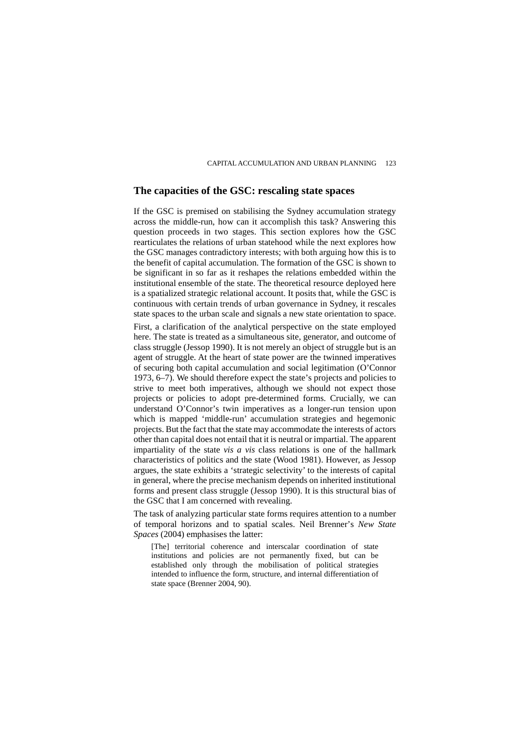### **The capacities of the GSC: rescaling state spaces**

If the GSC is premised on stabilising the Sydney accumulation strategy across the middle-run, how can it accomplish this task? Answering this question proceeds in two stages. This section explores how the GSC rearticulates the relations of urban statehood while the next explores how the GSC manages contradictory interests; with both arguing how this is to the benefit of capital accumulation. The formation of the GSC is shown to be significant in so far as it reshapes the relations embedded within the institutional ensemble of the state. The theoretical resource deployed here is a spatialized strategic relational account. It posits that, while the GSC is continuous with certain trends of urban governance in Sydney, it rescales state spaces to the urban scale and signals a new state orientation to space.

First, a clarification of the analytical perspective on the state employed here. The state is treated as a simultaneous site, generator, and outcome of class struggle (Jessop 1990). It is not merely an object of struggle but is an agent of struggle. At the heart of state power are the twinned imperatives of securing both capital accumulation and social legitimation (O'Connor 1973, 6–7). We should therefore expect the state's projects and policies to strive to meet both imperatives, although we should not expect those projects or policies to adopt pre-determined forms. Crucially, we can understand O'Connor's twin imperatives as a longer-run tension upon which is mapped 'middle-run' accumulation strategies and hegemonic projects. But the fact that the state may accommodate the interests of actors other than capital does not entail that it is neutral or impartial. The apparent impartiality of the state *vis a vis* class relations is one of the hallmark characteristics of politics and the state (Wood 1981). However, as Jessop argues, the state exhibits a 'strategic selectivity' to the interests of capital in general, where the precise mechanism depends on inherited institutional forms and present class struggle (Jessop 1990). It is this structural bias of the GSC that I am concerned with revealing.

The task of analyzing particular state forms requires attention to a number of temporal horizons and to spatial scales. Neil Brenner's *New State Spaces* (2004) emphasises the latter:

[The] territorial coherence and interscalar coordination of state institutions and policies are not permanently fixed, but can be established only through the mobilisation of political strategies intended to influence the form, structure, and internal differentiation of state space (Brenner 2004, 90).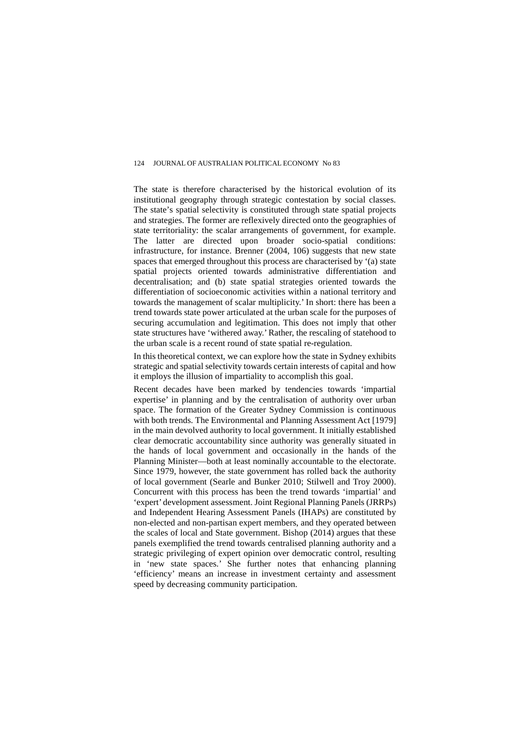The state is therefore characterised by the historical evolution of its institutional geography through strategic contestation by social classes. The state's spatial selectivity is constituted through state spatial projects and strategies. The former are reflexively directed onto the geographies of state territoriality: the scalar arrangements of government, for example. The latter are directed upon broader socio-spatial conditions: infrastructure, for instance. Brenner (2004, 106) suggests that new state spaces that emerged throughout this process are characterised by '(a) state spatial projects oriented towards administrative differentiation and decentralisation; and (b) state spatial strategies oriented towards the differentiation of socioeconomic activities within a national territory and towards the management of scalar multiplicity.' In short: there has been a trend towards state power articulated at the urban scale for the purposes of securing accumulation and legitimation. This does not imply that other state structures have 'withered away.' Rather, the rescaling of statehood to the urban scale is a recent round of state spatial re-regulation.

In this theoretical context, we can explore how the state in Sydney exhibits strategic and spatial selectivity towards certain interests of capital and how it employs the illusion of impartiality to accomplish this goal.

Recent decades have been marked by tendencies towards 'impartial expertise' in planning and by the centralisation of authority over urban space. The formation of the Greater Sydney Commission is continuous with both trends. The Environmental and Planning Assessment Act [1979] in the main devolved authority to local government. It initially established clear democratic accountability since authority was generally situated in the hands of local government and occasionally in the hands of the Planning Minister—both at least nominally accountable to the electorate. Since 1979, however, the state government has rolled back the authority of local government (Searle and Bunker 2010; Stilwell and Troy 2000). Concurrent with this process has been the trend towards 'impartial' and 'expert' development assessment. Joint Regional Planning Panels (JRRPs) and Independent Hearing Assessment Panels (IHAPs) are constituted by non-elected and non-partisan expert members, and they operated between the scales of local and State government. Bishop (2014) argues that these panels exemplified the trend towards centralised planning authority and a strategic privileging of expert opinion over democratic control, resulting in 'new state spaces.' She further notes that enhancing planning 'efficiency' means an increase in investment certainty and assessment speed by decreasing community participation.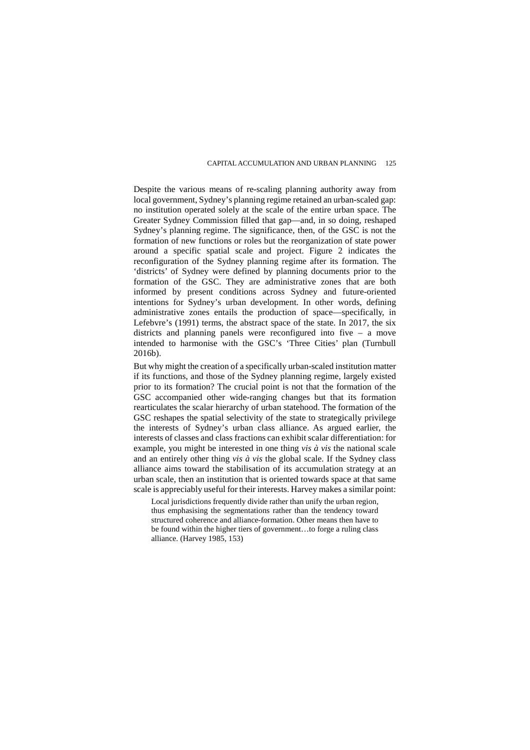Despite the various means of re-scaling planning authority away from local government, Sydney's planning regime retained an urban-scaled gap: no institution operated solely at the scale of the entire urban space. The Greater Sydney Commission filled that gap—and, in so doing, reshaped Sydney's planning regime. The significance, then, of the GSC is not the formation of new functions or roles but the reorganization of state power around a specific spatial scale and project. Figure 2 indicates the reconfiguration of the Sydney planning regime after its formation. The 'districts' of Sydney were defined by planning documents prior to the formation of the GSC. They are administrative zones that are both informed by present conditions across Sydney and future-oriented intentions for Sydney's urban development. In other words, defining administrative zones entails the production of space—specifically, in Lefebvre's (1991) terms, the abstract space of the state. In 2017, the six districts and planning panels were reconfigured into five – a move intended to harmonise with the GSC's 'Three Cities' plan (Turnbull 2016b).

But why might the creation of a specifically urban-scaled institution matter if its functions, and those of the Sydney planning regime, largely existed prior to its formation? The crucial point is not that the formation of the GSC accompanied other wide-ranging changes but that its formation rearticulates the scalar hierarchy of urban statehood. The formation of the GSC reshapes the spatial selectivity of the state to strategically privilege the interests of Sydney's urban class alliance. As argued earlier, the interests of classes and class fractions can exhibit scalar differentiation: for example, you might be interested in one thing *vis à vis* the national scale and an entirely other thing *vis à vis* the global scale. If the Sydney class alliance aims toward the stabilisation of its accumulation strategy at an urban scale, then an institution that is oriented towards space at that same scale is appreciably useful for their interests. Harvey makes a similar point:

Local jurisdictions frequently divide rather than unify the urban region, thus emphasising the segmentations rather than the tendency toward structured coherence and alliance-formation. Other means then have to be found within the higher tiers of government…to forge a ruling class alliance. (Harvey 1985, 153)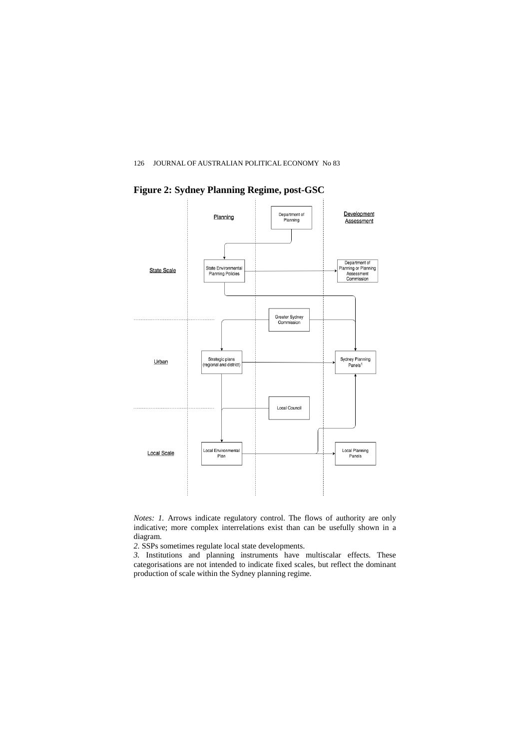

**Figure 2: Sydney Planning Regime, post-GSC**

*Notes: 1.* Arrows indicate regulatory control. The flows of authority are only indicative; more complex interrelations exist than can be usefully shown in a diagram.

*2.* SSPs sometimes regulate local state developments.

*3.* Institutions and planning instruments have multiscalar effects. These categorisations are not intended to indicate fixed scales, but reflect the dominant production of scale within the Sydney planning regime.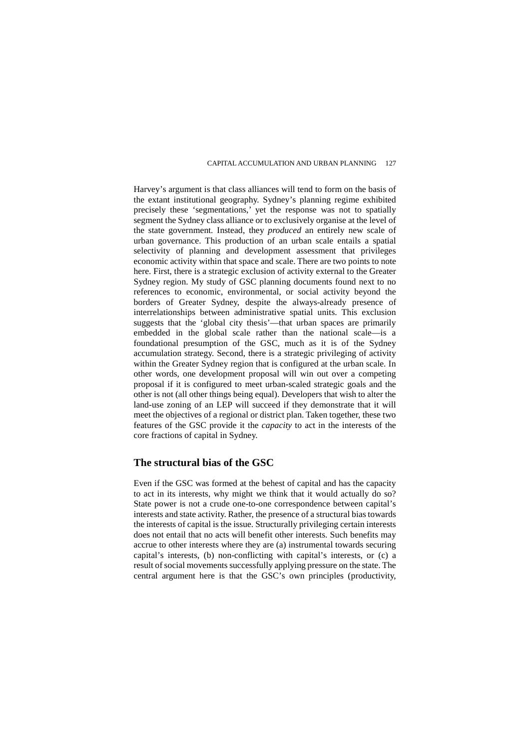Harvey's argument is that class alliances will tend to form on the basis of the extant institutional geography. Sydney's planning regime exhibited precisely these 'segmentations,' yet the response was not to spatially segment the Sydney class alliance or to exclusively organise at the level of the state government. Instead, they *produced* an entirely new scale of urban governance. This production of an urban scale entails a spatial selectivity of planning and development assessment that privileges economic activity within that space and scale. There are two points to note here. First, there is a strategic exclusion of activity external to the Greater Sydney region. My study of GSC planning documents found next to no references to economic, environmental, or social activity beyond the borders of Greater Sydney, despite the always-already presence of interrelationships between administrative spatial units. This exclusion suggests that the 'global city thesis'—that urban spaces are primarily embedded in the global scale rather than the national scale—is a foundational presumption of the GSC, much as it is of the Sydney accumulation strategy. Second, there is a strategic privileging of activity within the Greater Sydney region that is configured at the urban scale. In other words, one development proposal will win out over a competing proposal if it is configured to meet urban-scaled strategic goals and the other is not (all other things being equal). Developers that wish to alter the land-use zoning of an LEP will succeed if they demonstrate that it will meet the objectives of a regional or district plan. Taken together, these two features of the GSC provide it the *capacity* to act in the interests of the core fractions of capital in Sydney.

### **The structural bias of the GSC**

Even if the GSC was formed at the behest of capital and has the capacity to act in its interests, why might we think that it would actually do so? State power is not a crude one-to-one correspondence between capital's interests and state activity. Rather, the presence of a structural bias towards the interests of capital is the issue. Structurally privileging certain interests does not entail that no acts will benefit other interests. Such benefits may accrue to other interests where they are (a) instrumental towards securing capital's interests, (b) non-conflicting with capital's interests, or (c) a result of social movements successfully applying pressure on the state. The central argument here is that the GSC's own principles (productivity,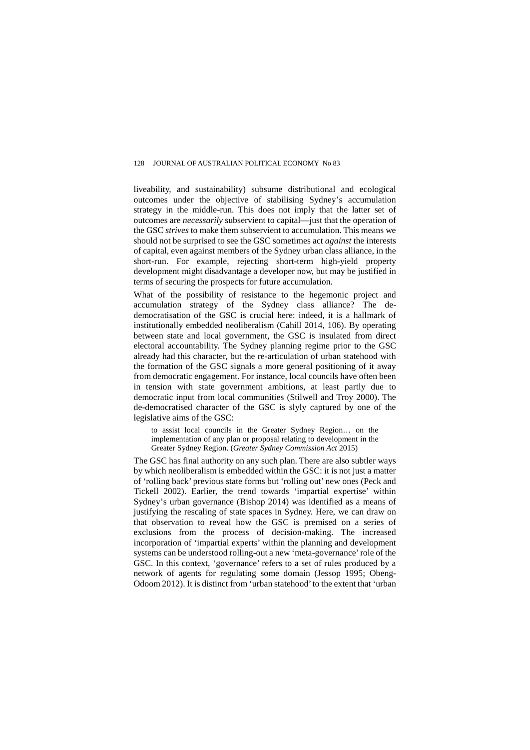liveability, and sustainability) subsume distributional and ecological outcomes under the objective of stabilising Sydney's accumulation strategy in the middle-run. This does not imply that the latter set of outcomes are *necessarily* subservient to capital—just that the operation of the GSC *strives* to make them subservient to accumulation. This means we should not be surprised to see the GSC sometimes act *against* the interests of capital, even against members of the Sydney urban class alliance, in the short-run. For example, rejecting short-term high-yield property development might disadvantage a developer now, but may be justified in terms of securing the prospects for future accumulation.

What of the possibility of resistance to the hegemonic project and accumulation strategy of the Sydney class alliance? The dedemocratisation of the GSC is crucial here: indeed, it is a hallmark of institutionally embedded neoliberalism (Cahill 2014, 106). By operating between state and local government, the GSC is insulated from direct electoral accountability. The Sydney planning regime prior to the GSC already had this character, but the re-articulation of urban statehood with the formation of the GSC signals a more general positioning of it away from democratic engagement. For instance, local councils have often been in tension with state government ambitions, at least partly due to democratic input from local communities (Stilwell and Troy 2000). The de-democratised character of the GSC is slyly captured by one of the legislative aims of the GSC:

to assist local councils in the Greater Sydney Region… on the implementation of any plan or proposal relating to development in the Greater Sydney Region. (*Greater Sydney Commission Act* 2015)

The GSC has final authority on any such plan. There are also subtler ways by which neoliberalism is embedded within the GSC: it is not just a matter of 'rolling back' previous state forms but 'rolling out' new ones (Peck and Tickell 2002). Earlier, the trend towards 'impartial expertise' within Sydney's urban governance (Bishop 2014) was identified as a means of justifying the rescaling of state spaces in Sydney. Here, we can draw on that observation to reveal how the GSC is premised on a series of exclusions from the process of decision-making. The increased incorporation of 'impartial experts' within the planning and development systems can be understood rolling-out a new 'meta-governance' role of the GSC. In this context, 'governance' refers to a set of rules produced by a network of agents for regulating some domain (Jessop 1995; Obeng-Odoom 2012). It is distinct from 'urban statehood' to the extent that 'urban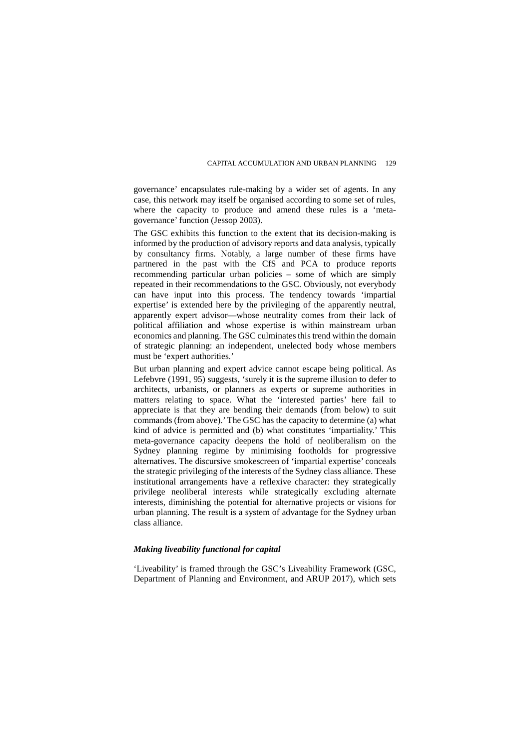governance' encapsulates rule-making by a wider set of agents. In any case, this network may itself be organised according to some set of rules, where the capacity to produce and amend these rules is a 'metagovernance' function (Jessop 2003).

The GSC exhibits this function to the extent that its decision-making is informed by the production of advisory reports and data analysis, typically by consultancy firms. Notably, a large number of these firms have partnered in the past with the CfS and PCA to produce reports recommending particular urban policies – some of which are simply repeated in their recommendations to the GSC. Obviously, not everybody can have input into this process. The tendency towards 'impartial expertise' is extended here by the privileging of the apparently neutral, apparently expert advisor—whose neutrality comes from their lack of political affiliation and whose expertise is within mainstream urban economics and planning. The GSC culminates this trend within the domain of strategic planning: an independent, unelected body whose members must be 'expert authorities.'

But urban planning and expert advice cannot escape being political. As Lefebvre (1991, 95) suggests, 'surely it is the supreme illusion to defer to architects, urbanists, or planners as experts or supreme authorities in matters relating to space. What the 'interested parties' here fail to appreciate is that they are bending their demands (from below) to suit commands (from above).' The GSC has the capacity to determine (a) what kind of advice is permitted and (b) what constitutes 'impartiality.' This meta-governance capacity deepens the hold of neoliberalism on the Sydney planning regime by minimising footholds for progressive alternatives. The discursive smokescreen of 'impartial expertise' conceals the strategic privileging of the interests of the Sydney class alliance. These institutional arrangements have a reflexive character: they strategically privilege neoliberal interests while strategically excluding alternate interests, diminishing the potential for alternative projects or visions for urban planning. The result is a system of advantage for the Sydney urban class alliance.

### *Making liveability functional for capital*

'Liveability' is framed through the GSC's Liveability Framework (GSC, Department of Planning and Environment, and ARUP 2017), which sets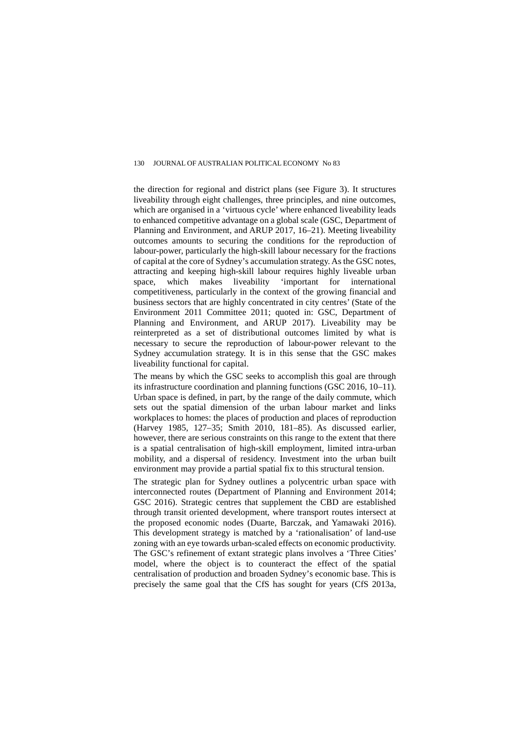the direction for regional and district plans (see Figure 3). It structures liveability through eight challenges, three principles, and nine outcomes, which are organised in a 'virtuous cycle' where enhanced liveability leads to enhanced competitive advantage on a global scale (GSC, Department of Planning and Environment, and ARUP 2017, 16–21). Meeting liveability outcomes amounts to securing the conditions for the reproduction of labour-power, particularly the high-skill labour necessary for the fractions of capital at the core of Sydney's accumulation strategy. As the GSC notes, attracting and keeping high-skill labour requires highly liveable urban space, which makes liveability 'important for international competitiveness, particularly in the context of the growing financial and business sectors that are highly concentrated in city centres' (State of the Environment 2011 Committee 2011; quoted in: GSC, Department of Planning and Environment, and ARUP 2017). Liveability may be reinterpreted as a set of distributional outcomes limited by what is necessary to secure the reproduction of labour-power relevant to the Sydney accumulation strategy. It is in this sense that the GSC makes liveability functional for capital.

The means by which the GSC seeks to accomplish this goal are through its infrastructure coordination and planning functions (GSC 2016, 10–11). Urban space is defined, in part, by the range of the daily commute, which sets out the spatial dimension of the urban labour market and links workplaces to homes: the places of production and places of reproduction (Harvey 1985, 127–35; Smith 2010, 181–85). As discussed earlier, however, there are serious constraints on this range to the extent that there is a spatial centralisation of high-skill employment, limited intra-urban mobility, and a dispersal of residency. Investment into the urban built environment may provide a partial spatial fix to this structural tension.

The strategic plan for Sydney outlines a polycentric urban space with interconnected routes (Department of Planning and Environment 2014; GSC 2016). Strategic centres that supplement the CBD are established through transit oriented development, where transport routes intersect at the proposed economic nodes (Duarte, Barczak, and Yamawaki 2016). This development strategy is matched by a 'rationalisation' of land-use zoning with an eye towards urban-scaled effects on economic productivity. The GSC's refinement of extant strategic plans involves a 'Three Cities' model, where the object is to counteract the effect of the spatial centralisation of production and broaden Sydney's economic base. This is precisely the same goal that the CfS has sought for years (CfS 2013a,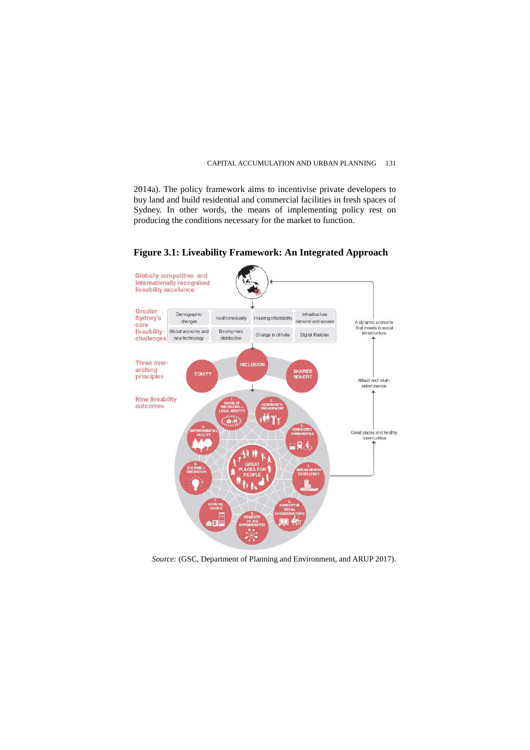2014a). The policy framework aims to incentivise private developers to buy land and build residential and commercial facilities in fresh spaces of Sydney. In other words, the means of implementing policy rest on producing the conditions necessary for the market to function.



### **Figure 3.1: Liveability Framework: An Integrated Approach**

*Source:* (GSC, Department of Planning and Environment, and ARUP 2017).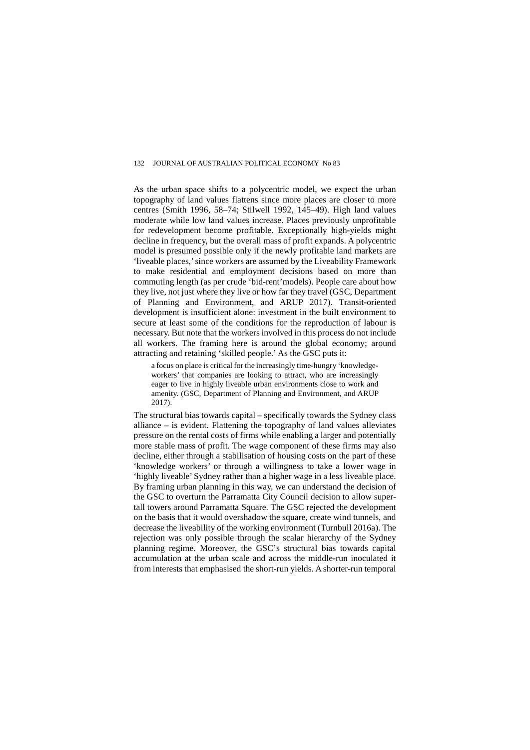As the urban space shifts to a polycentric model, we expect the urban topography of land values flattens since more places are closer to more centres (Smith 1996, 58–74; Stilwell 1992, 145–49). High land values moderate while low land values increase. Places previously unprofitable for redevelopment become profitable. Exceptionally high-yields might decline in frequency, but the overall mass of profit expands. A polycentric model is presumed possible only if the newly profitable land markets are 'liveable places,' since workers are assumed by the Liveability Framework to make residential and employment decisions based on more than commuting length (as per crude 'bid-rent'models). People care about how they live, not just where they live or how far they travel (GSC, Department of Planning and Environment, and ARUP 2017). Transit-oriented development is insufficient alone: investment in the built environment to secure at least some of the conditions for the reproduction of labour is necessary. But note that the workers involved in this process do not include all workers. The framing here is around the global economy; around attracting and retaining 'skilled people.' As the GSC puts it:

a focus on place is critical for the increasingly time-hungry 'knowledgeworkers' that companies are looking to attract, who are increasingly eager to live in highly liveable urban environments close to work and amenity. (GSC, Department of Planning and Environment, and ARUP 2017).

The structural bias towards capital – specifically towards the Sydney class alliance – is evident. Flattening the topography of land values alleviates pressure on the rental costs of firms while enabling a larger and potentially more stable mass of profit. The wage component of these firms may also decline, either through a stabilisation of housing costs on the part of these 'knowledge workers' or through a willingness to take a lower wage in 'highly liveable' Sydney rather than a higher wage in a less liveable place. By framing urban planning in this way, we can understand the decision of the GSC to overturn the Parramatta City Council decision to allow supertall towers around Parramatta Square. The GSC rejected the development on the basis that it would overshadow the square, create wind tunnels, and decrease the liveability of the working environment (Turnbull 2016a). The rejection was only possible through the scalar hierarchy of the Sydney planning regime. Moreover, the GSC's structural bias towards capital accumulation at the urban scale and across the middle-run inoculated it from interests that emphasised the short-run yields. A shorter-run temporal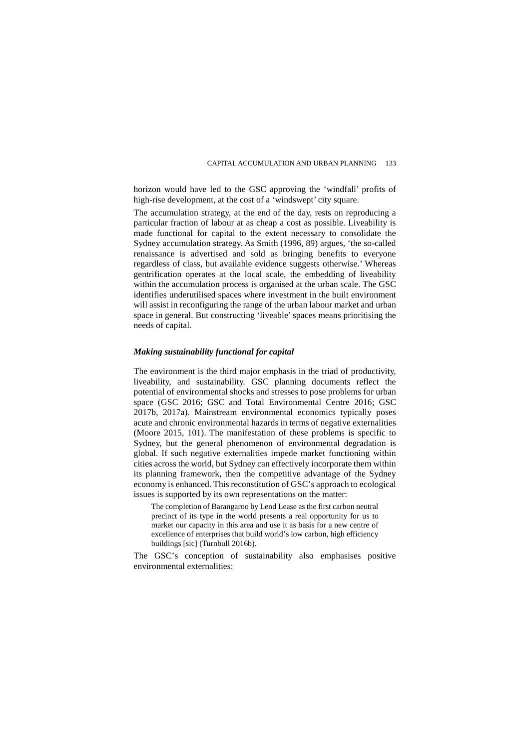horizon would have led to the GSC approving the 'windfall' profits of high-rise development, at the cost of a 'windswept' city square.

The accumulation strategy, at the end of the day, rests on reproducing a particular fraction of labour at as cheap a cost as possible. Liveability is made functional for capital to the extent necessary to consolidate the Sydney accumulation strategy. As Smith (1996, 89) argues, 'the so-called renaissance is advertised and sold as bringing benefits to everyone regardless of class, but available evidence suggests otherwise.' Whereas gentrification operates at the local scale, the embedding of liveability within the accumulation process is organised at the urban scale. The GSC identifies underutilised spaces where investment in the built environment will assist in reconfiguring the range of the urban labour market and urban space in general. But constructing 'liveable' spaces means prioritising the needs of capital.

#### *Making sustainability functional for capital*

The environment is the third major emphasis in the triad of productivity, liveability, and sustainability. GSC planning documents reflect the potential of environmental shocks and stresses to pose problems for urban space (GSC 2016; GSC and Total Environmental Centre 2016; GSC 2017b, 2017a). Mainstream environmental economics typically poses acute and chronic environmental hazards in terms of negative externalities (Moore 2015, 101). The manifestation of these problems is specific to Sydney, but the general phenomenon of environmental degradation is global. If such negative externalities impede market functioning within cities across the world, but Sydney can effectively incorporate them within its planning framework, then the competitive advantage of the Sydney economy is enhanced. This reconstitution of GSC's approach to ecological issues is supported by its own representations on the matter:

The completion of Barangaroo by Lend Lease as the first carbon neutral precinct of its type in the world presents a real opportunity for us to market our capacity in this area and use it as basis for a new centre of excellence of enterprises that build world's low carbon, high efficiency buildings [sic] (Turnbull 2016b).

The GSC's conception of sustainability also emphasises positive environmental externalities: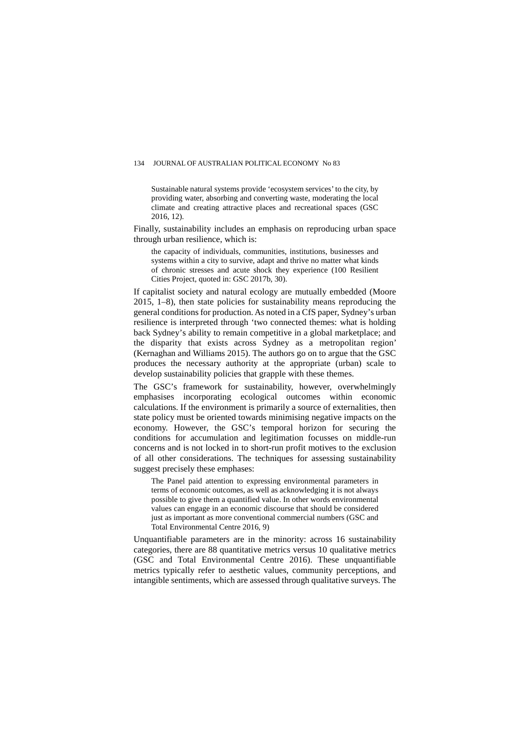Sustainable natural systems provide 'ecosystem services' to the city, by providing water, absorbing and converting waste, moderating the local climate and creating attractive places and recreational spaces (GSC 2016, 12).

Finally, sustainability includes an emphasis on reproducing urban space through urban resilience, which is:

the capacity of individuals, communities, institutions, businesses and systems within a city to survive, adapt and thrive no matter what kinds of chronic stresses and acute shock they experience (100 Resilient Cities Project, quoted in: GSC 2017b, 30).

If capitalist society and natural ecology are mutually embedded (Moore 2015, 1–8), then state policies for sustainability means reproducing the general conditions for production. As noted in a CfS paper, Sydney's urban resilience is interpreted through 'two connected themes: what is holding back Sydney's ability to remain competitive in a global marketplace; and the disparity that exists across Sydney as a metropolitan region' (Kernaghan and Williams 2015). The authors go on to argue that the GSC produces the necessary authority at the appropriate (urban) scale to develop sustainability policies that grapple with these themes.

The GSC's framework for sustainability, however, overwhelmingly emphasises incorporating ecological outcomes within economic calculations. If the environment is primarily a source of externalities, then state policy must be oriented towards minimising negative impacts on the economy. However, the GSC's temporal horizon for securing the conditions for accumulation and legitimation focusses on middle-run concerns and is not locked in to short-run profit motives to the exclusion of all other considerations. The techniques for assessing sustainability suggest precisely these emphases:

The Panel paid attention to expressing environmental parameters in terms of economic outcomes, as well as acknowledging it is not always possible to give them a quantified value. In other words environmental values can engage in an economic discourse that should be considered just as important as more conventional commercial numbers (GSC and Total Environmental Centre 2016, 9)

Unquantifiable parameters are in the minority: across 16 sustainability categories, there are 88 quantitative metrics versus 10 qualitative metrics (GSC and Total Environmental Centre 2016). These unquantifiable metrics typically refer to aesthetic values, community perceptions, and intangible sentiments, which are assessed through qualitative surveys. The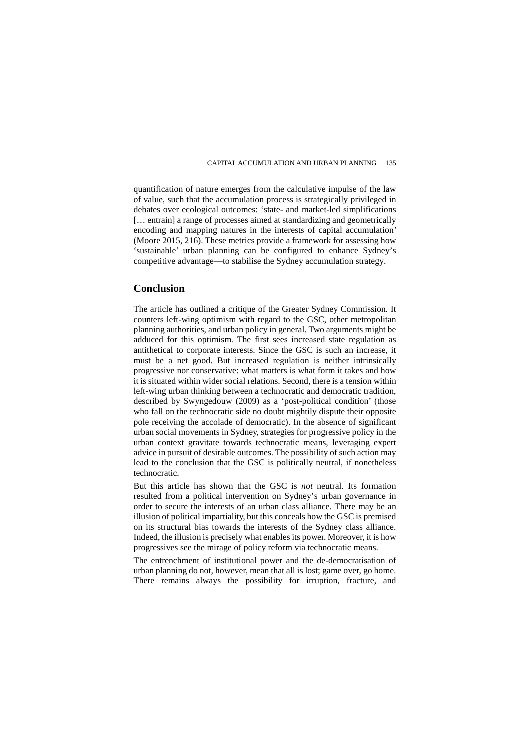quantification of nature emerges from the calculative impulse of the law of value, such that the accumulation process is strategically privileged in debates over ecological outcomes: 'state- and market-led simplifications [... entrain] a range of processes aimed at standardizing and geometrically encoding and mapping natures in the interests of capital accumulation' (Moore 2015, 216). These metrics provide a framework for assessing how 'sustainable' urban planning can be configured to enhance Sydney's competitive advantage—to stabilise the Sydney accumulation strategy.

### **Conclusion**

The article has outlined a critique of the Greater Sydney Commission. It counters left-wing optimism with regard to the GSC, other metropolitan planning authorities, and urban policy in general. Two arguments might be adduced for this optimism. The first sees increased state regulation as antithetical to corporate interests. Since the GSC is such an increase, it must be a net good. But increased regulation is neither intrinsically progressive nor conservative: what matters is what form it takes and how it is situated within wider social relations. Second, there is a tension within left-wing urban thinking between a technocratic and democratic tradition, described by Swyngedouw (2009) as a 'post-political condition' (those who fall on the technocratic side no doubt mightily dispute their opposite pole receiving the accolade of democratic). In the absence of significant urban social movements in Sydney, strategies for progressive policy in the urban context gravitate towards technocratic means, leveraging expert advice in pursuit of desirable outcomes. The possibility of such action may lead to the conclusion that the GSC is politically neutral, if nonetheless technocratic.

But this article has shown that the GSC is *not* neutral. Its formation resulted from a political intervention on Sydney's urban governance in order to secure the interests of an urban class alliance. There may be an illusion of political impartiality, but this conceals how the GSC is premised on its structural bias towards the interests of the Sydney class alliance. Indeed, the illusion is precisely what enables its power. Moreover, it is how progressives see the mirage of policy reform via technocratic means.

The entrenchment of institutional power and the de-democratisation of urban planning do not, however, mean that all is lost; game over, go home. There remains always the possibility for irruption, fracture, and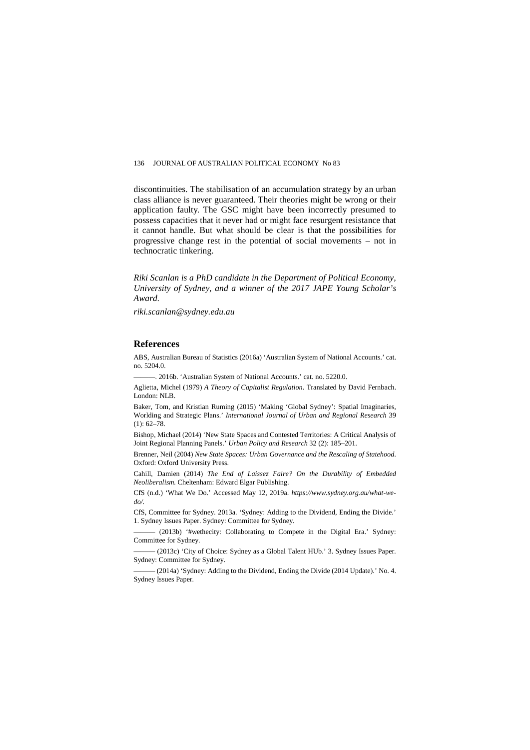discontinuities. The stabilisation of an accumulation strategy by an urban class alliance is never guaranteed. Their theories might be wrong or their application faulty. The GSC might have been incorrectly presumed to possess capacities that it never had or might face resurgent resistance that it cannot handle. But what should be clear is that the possibilities for progressive change rest in the potential of social movements – not in technocratic tinkering.

*Riki Scanlan is a PhD candidate in the Department of Political Economy, University of Sydney, and a winner of the 2017 JAPE Young Scholar's Award.* 

*[riki.scanlan@sydney.edu.au](mailto:riki.scanlan@sydney.edu.au)*

#### **References**

ABS, Australian Bureau of Statistics (2016a) 'Australian System of National Accounts.' cat. no. 5204.0.

———. 2016b. 'Australian System of National Accounts.' cat. no. 5220.0.

Aglietta, Michel (1979) *A Theory of Capitalist Regulation*. Translated by David Fernbach. London: NLB.

Baker, Tom, and Kristian Ruming (2015) 'Making 'Global Sydney': Spatial Imaginaries, Worlding and Strategic Plans.' *International Journal of Urban and Regional Research* 39  $(1): 62 - 78.$ 

Bishop, Michael (2014) 'New State Spaces and Contested Territories: A Critical Analysis of Joint Regional Planning Panels.' *Urban Policy and Research* 32 (2): 185–201.

Brenner, Neil (2004) *New State Spaces: Urban Governance and the Rescaling of Statehood*. Oxford: Oxford University Press.

Cahill, Damien (2014) *The End of Laissez Faire? On the Durability of Embedded Neoliberalism*. Cheltenham: Edward Elgar Publishing.

CfS (n.d.) 'What We Do.' Accessed May 12, 2019a. *https://www.sydney.org.au/what-wedo/.*

CfS, Committee for Sydney. 2013a. 'Sydney: Adding to the Dividend, Ending the Divide.' 1. Sydney Issues Paper. Sydney: Committee for Sydney.

——— (2013b) '#wethecity: Collaborating to Compete in the Digital Era.' Sydney: Committee for Sydney.

——— (2013c) 'City of Choice: Sydney as a Global Talent HUb.' 3. Sydney Issues Paper. Sydney: Committee for Sydney.

- (2014a) 'Sydney: Adding to the Dividend, Ending the Divide (2014 Update).' No. 4. Sydney Issues Paper.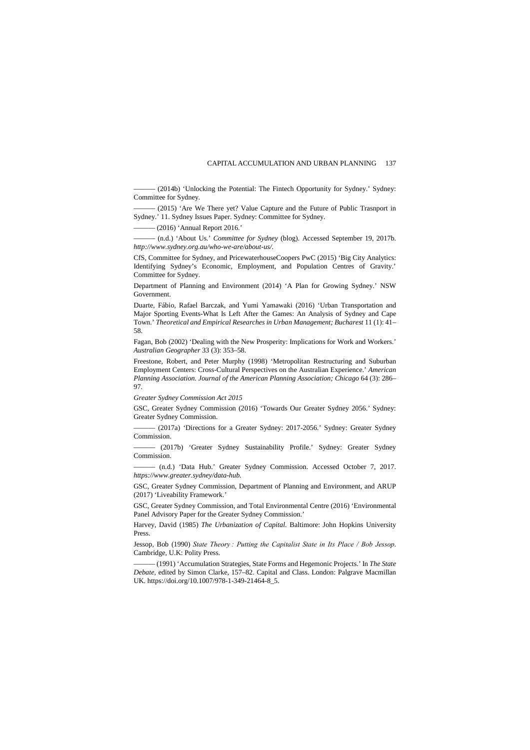(2014b) 'Unlocking the Potential: The Fintech Opportunity for Sydney.' Sydney: Committee for Sydney.

——— (2015) 'Are We There yet? Value Capture and the Future of Public Trasnport in Sydney.' 11. Sydney Issues Paper. Sydney: Committee for Sydney.

 $-$  (2016) 'Annual Report 2016.'

——— (n.d.) 'About Us.' *Committee for Sydney* (blog). Accessed September 19, 2017b. *http://www.sydney.org.au/who-we-are/about-us/.*

CfS, Committee for Sydney, and PricewaterhouseCoopers PwC (2015) 'Big City Analytics: Identifying Sydney's Economic, Employment, and Population Centres of Gravity.' Committee for Sydney.

Department of Planning and Environment (2014) 'A Plan for Growing Sydney.' NSW Government.

Duarte, Fábio, Rafael Barczak, and Yumi Yamawaki (2016) 'Urban Transportation and Major Sporting Events-What Is Left After the Games: An Analysis of Sydney and Cape Town.' *Theoretical and Empirical Researches in Urban Management; Bucharest* 11 (1): 41– 58.

Fagan, Bob (2002) 'Dealing with the New Prosperity: Implications for Work and Workers.' *Australian Geographer* 33 (3): 353–58.

Freestone, Robert, and Peter Murphy (1998) 'Metropolitan Restructuring and Suburban Employment Centers: Cross-Cultural Perspectives on the Australian Experience.' *American Planning Association. Journal of the American Planning Association; Chicago* 64 (3): 286– 97.

*Greater Sydney Commission Act 2015*

GSC, Greater Sydney Commission (2016) 'Towards Our Greater Sydney 2056.' Sydney: Greater Sydney Commission.

- (2017a) 'Directions for a Greater Sydney: 2017-2056.' Sydney: Greater Sydney Commission.

- (2017b) 'Greater Sydney Sustainability Profile.' Sydney: Greater Sydney Commission.

- (n.d.) 'Data Hub.' Greater Sydney Commission. Accessed October 7, 2017. *https://www.greater.sydney/data-hub.*

GSC, Greater Sydney Commission, Department of Planning and Environment, and ARUP (2017) 'Liveability Framework.'

GSC, Greater Sydney Commission, and Total Environmental Centre (2016) 'Environmental Panel Advisory Paper for the Greater Sydney Commission.'

Harvey, David (1985) *The Urbanization of Capital*. Baltimore: John Hopkins University Press.

Jessop, Bob (1990) *State Theory : Putting the Capitalist State in Its Place / Bob Jessop*. Cambridge, U.K: Polity Press.

——— (1991) 'Accumulation Strategies, State Forms and Hegemonic Projects.' In *The State Debate*, edited by Simon Clarke, 157–82. Capital and Class. London: Palgrave Macmillan UK. https://doi.org/10.1007/978-1-349-21464-8\_5.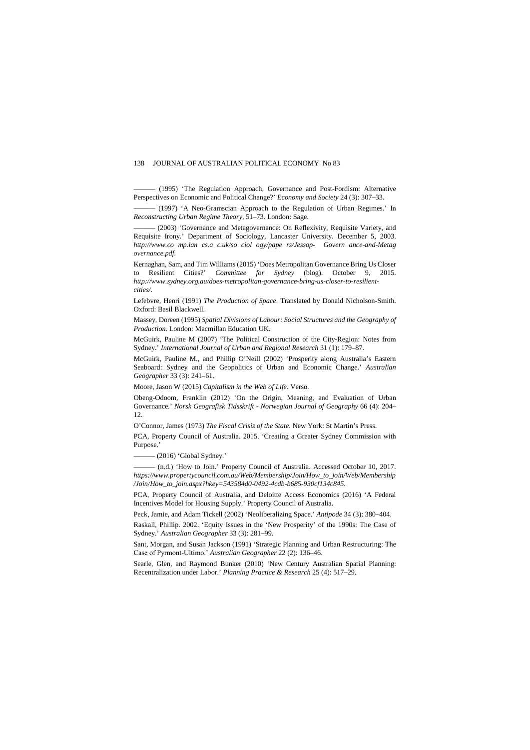- (1995) 'The Regulation Approach, Governance and Post-Fordism: Alternative Perspectives on Economic and Political Change?' *Economy and Society* 24 (3): 307–33.

- (1997) 'A Neo-Gramscian Approach to the Regulation of Urban Regimes.' In *Reconstructing Urban Regime Theory*, 51–73. London: Sage.

- (2003) 'Governance and Metagovernance: On Reflexivity, Requisite Variety, and Requisite Irony.' Department of Sociology, Lancaster University. December 5, 2003. *http://www.co mp.lan cs.a c.uk/so ciol ogy/pape rs/Jessop- Govern ance-and-Metag overnance.pdf.*

Kernaghan, Sam, and Tim Williams (2015) 'Does Metropolitan Governance Bring Us Closer to Resilient Cities?' *Committee for Sydney* (blog). October 9, 2015. *http://www.sydney.org.au/does-metropolitan-governance-bring-us-closer-to-resilientcities/.*

Lefebvre, Henri (1991) *The Production of Space*. Translated by Donald Nicholson-Smith. Oxford: Basil Blackwell.

Massey, Doreen (1995) *Spatial Divisions of Labour: Social Structures and the Geography of Production*. London: Macmillan Education UK.

McGuirk, Pauline M (2007) 'The Political Construction of the City-Region: Notes from Sydney.' *International Journal of Urban and Regional Research* 31 (1): 179–87.

McGuirk, Pauline M., and Phillip O'Neill (2002) 'Prosperity along Australia's Eastern Seaboard: Sydney and the Geopolitics of Urban and Economic Change.' *Australian Geographer* 33 (3): 241–61.

Moore, Jason W (2015) *Capitalism in the Web of Life*. Verso.

Obeng-Odoom, Franklin (2012) 'On the Origin, Meaning, and Evaluation of Urban Governance.' *Norsk Geografisk Tidsskrift - Norwegian Journal of Geography* 66 (4): 204– 12.

O'Connor, James (1973) *The Fiscal Crisis of the State*. New York: St Martin's Press.

PCA, Property Council of Australia. 2015. 'Creating a Greater Sydney Commission with Purpose.'

 $-$  (2016) 'Global Sydney.'

- (n.d.) 'How to Join.' Property Council of Australia. Accessed October 10, 2017. *https://www.propertycouncil.com.au/Web/Membership/Join/How\_to\_join/Web/Membership /Join/How\_to\_join.aspx?hkey=543584d0-0492-4cdb-b685-930cf134c845.*

PCA, Property Council of Australia, and Deloitte Access Economics (2016) 'A Federal Incentives Model for Housing Supply.' Property Council of Australia.

Peck, Jamie, and Adam Tickell (2002) 'Neoliberalizing Space.' *Antipode* 34 (3): 380–404.

Raskall, Phillip. 2002. 'Equity Issues in the 'New Prosperity' of the 1990s: The Case of Sydney.' *Australian Geographer* 33 (3): 281–99.

Sant, Morgan, and Susan Jackson (1991) 'Strategic Planning and Urban Restructuring: The Case of Pyrmont‐Ultimo.' *Australian Geographer* 22 (2): 136–46.

Searle, Glen, and Raymond Bunker (2010) 'New Century Australian Spatial Planning: Recentralization under Labor.' *Planning Practice & Research* 25 (4): 517–29.